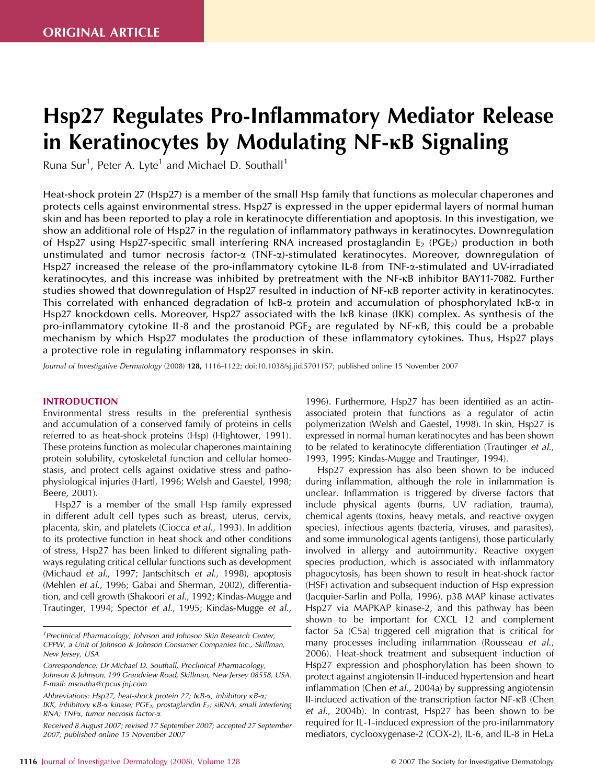# Hsp27 Regulates Pro-Inflammatory Mediator Release in Keratinocytes by Modulating NF-KB Signaling

Runa Sur<sup>1</sup>, Peter A. Lyte<sup>1</sup> and Michael D. Southall<sup>1</sup>

Heat-shock protein 27 (Hsp27) is a member of the small Hsp family that functions as molecular chaperones and protects cells against environmental stress. Hsp27 is expressed in the upper epidermal layers of normal human skin and has been reported to play a role in keratinocyte differentiation and apoptosis. In this investigation, we show an additional role of Hsp27 in the regulation of inflammatory pathways in keratinocytes. Downregulation of Hsp27 using Hsp27-specific small interfering RNA increased prostaglandin E $_2$  (PGE $_2$ ) production in both unstimulated and tumor necrosis factor- $\alpha$  (TNF- $\alpha$ )-stimulated keratinocytes. Moreover, downregulation of Hsp27 increased the release of the pro-inflammatory cytokine IL-8 from TNF- $\alpha$ -stimulated and UV-irradiated keratinocytes, and this increase was inhibited by pretreatment with the NF-kB inhibitor BAY11-7082. Further studies showed that downregulation of Hsp27 resulted in induction of NF-kB reporter activity in keratinocytes. This correlated with enhanced degradation of  $I \kappa B$ - $\alpha$  protein and accumulation of phosphorylated  $I \kappa B$ - $\alpha$  in Hsp27 knockdown cells. Moreover, Hsp27 associated with the IkB kinase (IKK) complex. As synthesis of the pro-inflammatory cytokine IL-8 and the prostanoid  $PGE_2$  are regulated by NF- $\kappa$ B, this could be a probable mechanism by which Hsp27 modulates the production of these inflammatory cytokines. Thus, Hsp27 plays a protective role in regulating inflammatory responses in skin.

*Journal of Investigative Dermatology* (2008) 128, 1116–1122; doi:10.1038/sj.jid.5701157; published online 15 November 2007

## INTRODUCTION

Environmental stress results in the preferential synthesis and accumulation of a conserved family of proteins in cells referred to as heat-shock proteins (Hsp) (Hightower, 1991). These proteins function as molecular chaperones maintaining protein solubility, cytoskeletal function and cellular homeostasis, and protect cells against oxidative stress and pathophysiological injuries (Hartl, 1996; Welsh and Gaestel, 1998; Beere, 2001).

Hsp27 is a member of the small Hsp family expressed in different adult cell types such as breast, uterus, cervix, placenta, skin, and platelets (Ciocca *et al*., 1993). In addition to its protective function in heat shock and other conditions of stress, Hsp27 has been linked to different signaling pathways regulating critical cellular functions such as development (Michaud *et al*., 1997; Jantschitsch *et al*., 1998), apoptosis (Mehlen *et al*., 1996; Gabai and Sherman, 2002), differentiation, and cell growth (Shakoori *et al*., 1992; Kindas-Mugge and Trautinger, 1994; Spector *et al*., 1995; Kindas-Mugge *et al*.,

1996). Furthermore, Hsp27 has been identified as an actinassociated protein that functions as a regulator of actin polymerization (Welsh and Gaestel, 1998). In skin, Hsp27 is expressed in normal human keratinocytes and has been shown to be related to keratinocyte differentiation (Trautinger *et al*., 1993, 1995; Kindas-Mugge and Trautinger, 1994).

Hsp27 expression has also been shown to be induced during inflammation, although the role in inflammation is unclear. Inflammation is triggered by diverse factors that include physical agents (burns, UV radiation, trauma), chemical agents (toxins, heavy metals, and reactive oxygen species), infectious agents (bacteria, viruses, and parasites), and some immunological agents (antigens), those particularly involved in allergy and autoimmunity. Reactive oxygen species production, which is associated with inflammatory phagocytosis, has been shown to result in heat-shock factor (HSF) activation and subsequent induction of Hsp expression (Jacquier-Sarlin and Polla, 1996). p38 MAP kinase activates Hsp27 via MAPKAP kinase-2, and this pathway has been shown to be important for CXCL 12 and complement factor 5a (C5a) triggered cell migration that is critical for many processes including inflammation (Rousseau *et al*., 2006). Heat-shock treatment and subsequent induction of Hsp27 expression and phosphorylation has been shown to protect against angiotensin II-induced hypertension and heart inflammation (Chen *et al*., 2004a) by suppressing angiotensin II-induced activation of the transcription factor NF-kB (Chen *et al*., 2004b). In contrast, Hsp27 has been shown to be required for IL-1-induced expression of the pro-inflammatory mediators, cyclooxygenase-2 (COX-2), IL-6, and IL-8 in HeLa

*<sup>1</sup> Preclinical Pharmacology, Johnson and Johnson Skin Research Center, CPPW, a Unit of Johnson & Johnson Consumer Companies Inc., Skillman, New Jersey, USA*

*Correspondence: Dr Michael D. Southall, Preclinical Pharmacology, Johnson & Johnson, 199 Grandview Road, Skillman, New Jersey 08558, USA. E-mail: msoutha@cpcus.jnj.com*

*Abbreviations: Hsp27, heat-shock protein 27; I*k*B-*a*, inhibitory* k*B-*a*;*

*IKK, inhibitory* k*B-*a *kinase; PGE2, prostaglandin E2; siRNA, small interfering RNA; TNF*a*, tumor necrosis factor-*a

*Received 8 August 2007; revised 17 September 2007; accepted 27 September 2007; published online 15 November 2007*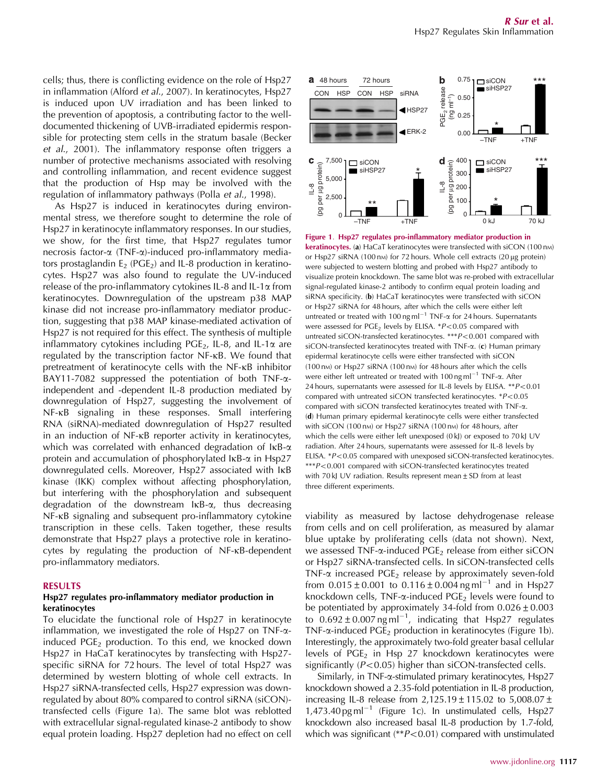cells; thus, there is conflicting evidence on the role of Hsp27 in inflammation (Alford *et al*., 2007). In keratinocytes, Hsp27 is induced upon UV irradiation and has been linked to the prevention of apoptosis, a contributing factor to the welldocumented thickening of UVB-irradiated epidermis responsible for protecting stem cells in the stratum basale (Becker *et al*., 2001). The inflammatory response often triggers a number of protective mechanisms associated with resolving and controlling inflammation, and recent evidence suggest that the production of Hsp may be involved with the regulation of inflammatory pathways (Polla *et al*., 1998).

As Hsp27 is induced in keratinocytes during environmental stress, we therefore sought to determine the role of Hsp27 in keratinocyte inflammatory responses. In our studies, we show, for the first time, that Hsp27 regulates tumor necrosis factor-a (TNF-a)-induced pro-inflammatory mediators prostaglandin  $E_2$  (PGE<sub>2</sub>) and IL-8 production in keratinocytes. Hsp27 was also found to regulate the UV-induced release of the pro-inflammatory cytokines IL-8 and IL-1 $\alpha$  from keratinocytes. Downregulation of the upstream p38 MAP kinase did not increase pro-inflammatory mediator production, suggesting that p38 MAP kinase-mediated activation of Hsp27 is not required for this effect. The synthesis of multiple inflammatory cytokines including PGE<sub>2</sub>, IL-8, and IL-1 $\alpha$  are regulated by the transcription factor NF-kB. We found that pretreatment of keratinocyte cells with the NF-kB inhibitor BAY11-7082 suppressed the potentiation of both  $TNF-\alpha$ independent and -dependent IL-8 production mediated by downregulation of Hsp27, suggesting the involvement of NF-kB signaling in these responses. Small interfering RNA (siRNA)-mediated downregulation of Hsp27 resulted in an induction of NF-kB reporter activity in keratinocytes, which was correlated with enhanced degradation of  $I\kappa B$ - $\alpha$ protein and accumulation of phosphorylated  $\text{lkB-}\alpha$  in Hsp27 downregulated cells. Moreover, Hsp27 associated with IkB kinase (IKK) complex without affecting phosphorylation, but interfering with the phosphorylation and subsequent degradation of the downstream IkB-a, thus decreasing NF-kB signaling and subsequent pro-inflammatory cytokine transcription in these cells. Taken together, these results demonstrate that Hsp27 plays a protective role in keratinocytes by regulating the production of NF-kB-dependent pro-inflammatory mediators.

#### RESULTS

## Hsp27 regulates pro-inflammatory mediator production in keratinocytes

To elucidate the functional role of Hsp27 in keratinocyte inflammation, we investigated the role of Hsp27 on TNF- $\alpha$ induced  $PGE<sub>2</sub>$  production. To this end, we knocked down Hsp27 in HaCaT keratinocytes by transfecting with Hsp27 specific siRNA for 72 hours. The level of total Hsp27 was determined by western blotting of whole cell extracts. In Hsp27 siRNA-transfected cells, Hsp27 expression was downregulated by about 80% compared to control siRNA (siCON) transfected cells (Figure 1a). The same blot was reblotted with extracellular signal-regulated kinase-2 antibody to show equal protein loading. Hsp27 depletion had no effect on cell



Figure 1. Hsp27 regulates pro-inflammatory mediator production in keratinocytes. (a) HaCaT keratinocytes were transfected with siCON (100 nm) or Hsp27 siRNA (100 nm) for 72 hours. Whole cell extracts (20  $\mu$ g protein) were subjected to western blotting and probed with Hsp27 antibody to visualize protein knockdown. The same blot was re-probed with extracellular signal-regulated kinase-2 antibody to confirm equal protein loading and siRNA specificity. (b) HaCaT keratinocytes were transfected with siCON or Hsp27 siRNA for 48 hours, after which the cells were either left untreated or treated with 100 ng ml<sup>-1</sup> TNF- $\alpha$  for 24 hours. Supernatants were assessed for PGE<sub>2</sub> levels by ELISA. \**P*<0.05 compared with untreated siCON-transfected keratinocytes. \*\*\**P<*0.001 compared with siCON-transfected keratinocytes treated with TNF- $\alpha$ . (c) Human primary epidermal keratinocyte cells were either transfected with siCON (100 nm) or Hsp27 siRNA (100 nm) for 48 hours after which the cells were either left untreated or treated with 100 ng ml<sup>-1</sup> TNF-a. After 24 hours, supernatants were assessed for IL-8 levels by ELISA. \*\* P<0.01 compared with untreated siCON transfected keratinocytes. \**P<0.05* compared with siCON transfected keratinocytes treated with TNF-a. (d) Human primary epidermal keratinocyte cells were either transfected with siCON (100 nm) or Hsp27 siRNA (100 nm) for 48 hours, after which the cells were either left unexposed (0 kJ) or exposed to 70 kJ UV radiation. After 24 hours, supernatants were assessed for IL-8 levels by ELISA. \**P<0.05* compared with unexposed siCON-transfected keratinocytes. \*\*\**P<0.001* compared with siCON-transfected keratinocytes treated with 70 kJ UV radiation. Results represent mean  $\pm$  SD from at least three different experiments.

viability as measured by lactose dehydrogenase release from cells and on cell proliferation, as measured by alamar blue uptake by proliferating cells (data not shown). Next, we assessed TNF- $\alpha$ -induced PGE<sub>2</sub> release from either siCON or Hsp27 siRNA-transfected cells. In siCON-transfected cells TNF- $\alpha$  increased PGE<sub>2</sub> release by approximately seven-fold from  $0.015 \pm 0.001$  to  $0.116 \pm 0.004$  ng ml<sup>-1</sup> and in Hsp27 knockdown cells, TNF- $\alpha$ -induced PGE<sub>2</sub> levels were found to be potentiated by approximately 34-fold from  $0.026 \pm 0.003$ to  $0.692 \pm 0.007$  ng ml<sup>-1</sup>, indicating that Hsp27 regulates TNF- $\alpha$ -induced PGE<sub>2</sub> production in keratinocytes (Figure 1b). Interestingly, the approximately two-fold greater basal cellular levels of  $PGE_2$  in Hsp 27 knockdown keratinocytes were significantly  $(P<0.05)$  higher than siCON-transfected cells.

Similarly, in TNF-a-stimulated primary keratinocytes, Hsp27 knockdown showed a 2.35-fold potentiation in IL-8 production, increasing IL-8 release from  $2,125.19 \pm 115.02$  to  $5,008.07 \pm 115.02$  $1,473.40$  pg m $l^{-1}$  (Figure 1c). In unstimulated cells, Hsp27 knockdown also increased basal IL-8 production by 1.7-fold, which was significant (\*\**P*<0.01) compared with unstimulated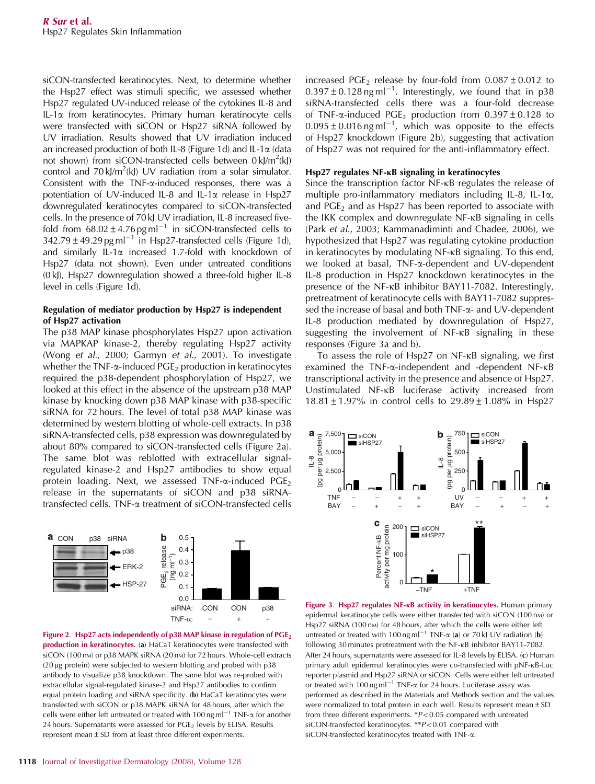siCON-transfected keratinocytes. Next, to determine whether the Hsp27 effect was stimuli specific, we assessed whether Hsp27 regulated UV-induced release of the cytokines IL-8 and IL-1a from keratinocytes. Primary human keratinocyte cells were transfected with siCON or Hsp27 siRNA followed by UV irradiation. Results showed that UV irradiation induced an increased production of both IL-8 (Figure 1d) and IL-1 $\alpha$  (data not shown) from siCON-transfected cells between 0 kJ/m<sup>2</sup>(kJ) control and  $70 \text{ kJ/m}^2(\text{kJ})$  UV radiation from a solar simulator. Consistent with the TNF- $\alpha$ -induced responses, there was a potentiation of UV-induced IL-8 and IL-1 $\alpha$  release in Hsp27 downregulated keratinocytes compared to siCON-transfected cells. In the presence of 70 kJ UV irradiation, IL-8 increased fivefold from  $68.02 \pm 4.76$  pg ml<sup>-1</sup> in siCON-transfected cells to  $342.79 \pm 49.29$  pg ml<sup>-1</sup> in Hsp27-transfected cells (Figure 1d), and similarly IL-1 $\alpha$  increased 1.7-fold with knockdown of Hsp27 (data not shown). Even under untreated conditions (0 kJ), Hsp27 downregulation showed a three-fold higher IL-8 level in cells (Figure 1d).

# Regulation of mediator production by Hsp27 is independent of Hsp27 activation

The p38 MAP kinase phosphorylates Hsp27 upon activation via MAPKAP kinase-2, thereby regulating Hsp27 activity (Wong *et al*., 2000; Garmyn *et al*., 2001). To investigate whether the TNF- $\alpha$ -induced PGE<sub>2</sub> production in keratinocytes required the p38-dependent phosphorylation of Hsp27, we looked at this effect in the absence of the upstream p38 MAP kinase by knocking down p38 MAP kinase with p38-specific siRNA for 72 hours. The level of total p38 MAP kinase was determined by western blotting of whole-cell extracts. In p38 siRNA-transfected cells, p38 expression was downregulated by about 80% compared to siCON-transfected cells (Figure 2a). The same blot was reblotted with extracellular signalregulated kinase-2 and Hsp27 antibodies to show equal protein loading. Next, we assessed TNF- $\alpha$ -induced PGE<sub>2</sub> release in the supernatants of siCON and p38 siRNAtransfected cells. TNF-a treatment of siCON-transfected cells





increased PGE<sub>2</sub> release by four-fold from  $0.087 \pm 0.012$  to  $0.397 \pm 0.128$  ng ml<sup>-1</sup>. Interestingly, we found that in p38 siRNA-transfected cells there was a four-fold decrease of TNF- $\alpha$ -induced PGE<sub>2</sub> production from 0.397  $\pm$  0.128 to  $0.095 \pm 0.016$  ng ml<sup>-1</sup>, which was opposite to the effects of Hsp27 knockdown (Figure 2b), suggesting that activation of Hsp27 was not required for the anti-inflammatory effect.

## $Hsp27$  regulates NF- $\kappa$ B signaling in keratinocytes

Since the transcription factor NF- $\kappa$ B regulates the release of multiple pro-inflammatory mediators including IL-8, IL-1a, and  $PGE<sub>2</sub>$  and as Hsp27 has been reported to associate with the IKK complex and downregulate NF-kB signaling in cells (Park *et al*., 2003; Kammanadiminti and Chadee, 2006), we hypothesized that Hsp27 was regulating cytokine production in keratinocytes by modulating NF-kB signaling. To this end, we looked at basal, TNF-a-dependent and UV-dependent IL-8 production in Hsp27 knockdown keratinocytes in the presence of the NF-kB inhibitor BAY11-7082. Interestingly, pretreatment of keratinocyte cells with BAY11-7082 suppressed the increase of basal and both TNF-a- and UV-dependent IL-8 production mediated by downregulation of Hsp27, suggesting the involvement of NF-kB signaling in these responses (Figure 3a and b).

To assess the role of Hsp27 on NF-kB signaling, we first examined the TNF-a-independent and -dependent NF-kB transcriptional activity in the presence and absence of Hsp27. Unstimulated NF-kB luciferase activity increased from 18.81  $\pm$  1.97% in control cells to 29.89  $\pm$  1.08% in Hsp27



Figure 3. Hsp27 regulates NF-KB activity in keratinocytes. Human primary epidermal keratinocyte cells were either transfected with siCON (100 nm) or Hsp27 siRNA (100 nm) for 48 hours, after which the cells were either left untreated or treated with 100 ng ml<sup>-1</sup> TNF- $\alpha$  (a) or 70 kJ UV radiation (b) following 30 minutes pretreatment with the NF-kB inhibitor BAY11-7082. After 24 hours, supernatants were assessed for IL-8 levels by ELISA. (c) Human primary adult epidermal keratinocytes were co-transfected with pNF-kB-Luc reporter plasmid and Hsp27 siRNA or siCON. Cells were either left untreated or treated with 100 ng ml<sup>-1</sup> TNF- $\alpha$  for 24 hours. Luciferase assay was performed as described in the Materials and Methods section and the values were normalized to total protein in each well. Results represent mean  $\pm$  SD from three different experiments.  $P < 0.05$  compared with untreated siCON-transfected keratinocytes. \*\**P<*0.01 compared with siCON-transfected keratinocytes treated with TNF-a.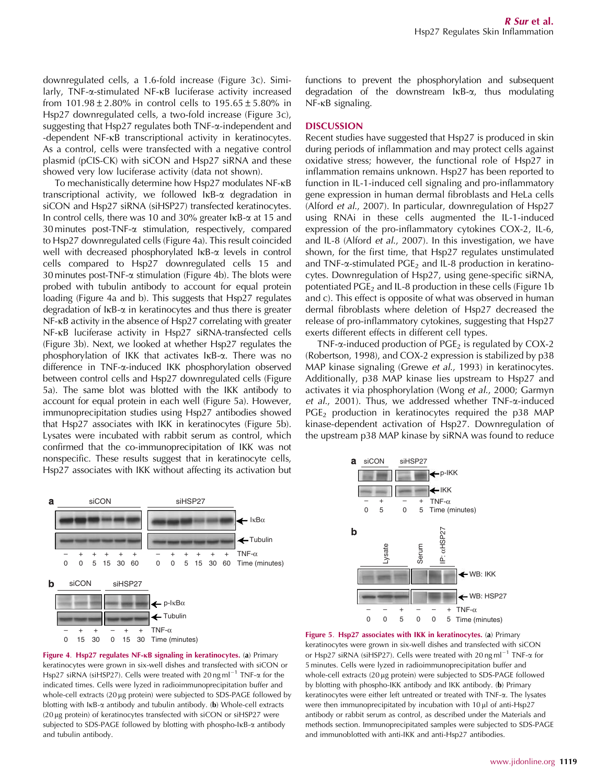downregulated cells, a 1.6-fold increase (Figure 3c). Similarly, TNF-a-stimulated NF-kB luciferase activity increased from  $101.98 \pm 2.80\%$  in control cells to  $195.65 \pm 5.80\%$  in Hsp27 downregulated cells, a two-fold increase (Figure 3c), suggesting that Hsp27 regulates both TNF-a-independent and -dependent NF-kB transcriptional activity in keratinocytes. As a control, cells were transfected with a negative control plasmid (pCIS-CK) with siCON and Hsp27 siRNA and these showed very low luciferase activity (data not shown).

To mechanistically determine how Hsp27 modulates NF- $\kappa$ B transcriptional activity, we followed IkB-a degradation in siCON and Hsp27 siRNA (siHSP27) transfected keratinocytes. In control cells, there was 10 and 30% greater IKB- $\alpha$  at 15 and 30 minutes post-TNF-a stimulation, respectively, compared to Hsp27 downregulated cells (Figure 4a). This result coincided well with decreased phosphorylated IKB- $\alpha$  levels in control cells compared to Hsp27 downregulated cells 15 and 30 minutes post-TNF- $\alpha$  stimulation (Figure 4b). The blots were probed with tubulin antibody to account for equal protein loading (Figure 4a and b). This suggests that Hsp27 regulates degradation of  $I \kappa B$ - $\alpha$  in keratinocytes and thus there is greater NF-kB activity in the absence of Hsp27 correlating with greater NF-kB luciferase activity in Hsp27 siRNA-transfected cells (Figure 3b). Next, we looked at whether Hsp27 regulates the phosphorylation of IKK that activates IkB-a. There was no difference in TNF-a-induced IKK phosphorylation observed between control cells and Hsp27 downregulated cells (Figure 5a). The same blot was blotted with the IKK antibody to account for equal protein in each well (Figure 5a). However, immunoprecipitation studies using Hsp27 antibodies showed that Hsp27 associates with IKK in keratinocytes (Figure 5b). Lysates were incubated with rabbit serum as control, which confirmed that the co-immunoprecipitation of IKK was not nonspecific. These results suggest that in keratinocyte cells, Hsp27 associates with IKK without affecting its activation but



## **DISCUSSION**

Recent studies have suggested that Hsp27 is produced in skin during periods of inflammation and may protect cells against oxidative stress; however, the functional role of Hsp27 in inflammation remains unknown. Hsp27 has been reported to function in IL-1-induced cell signaling and pro-inflammatory gene expression in human dermal fibroblasts and HeLa cells (Alford *et al*., 2007). In particular, downregulation of Hsp27 using RNAi in these cells augmented the IL-1-induced expression of the pro-inflammatory cytokines COX-2, IL-6, and IL-8 (Alford *et al*., 2007). In this investigation, we have shown, for the first time, that Hsp27 regulates unstimulated and TNF- $\alpha$ -stimulated PGE<sub>2</sub> and IL-8 production in keratinocytes. Downregulation of Hsp27, using gene-specific siRNA, potentiated  $PGE_2$  and IL-8 production in these cells (Figure 1b and c). This effect is opposite of what was observed in human dermal fibroblasts where deletion of Hsp27 decreased the release of pro-inflammatory cytokines, suggesting that Hsp27 exerts different effects in different cell types.

TNF- $\alpha$ -induced production of PGE<sub>2</sub> is regulated by COX-2 (Robertson, 1998), and COX-2 expression is stabilized by p38 MAP kinase signaling (Grewe *et al*., 1993) in keratinocytes. Additionally, p38 MAP kinase lies upstream to Hsp27 and activates it via phosphorylation (Wong *et al*., 2000; Garmyn *et al*., 2001). Thus, we addressed whether TNF-a-induced  $PGE<sub>2</sub>$  production in keratinocytes required the p38 MAP kinase-dependent activation of Hsp27. Downregulation of the upstream p38 MAP kinase by siRNA was found to reduce







Figure 5. Hsp27 associates with IKK in keratinocytes. (a) Primary keratinocytes were grown in six-well dishes and transfected with siCON or Hsp27<sup>'</sup> siRNA (siHSP27). Cells were treated with 20 ng ml<sup>-1</sup> TNF- $\alpha$  for 5 minutes. Cells were lyzed in radioimmunoprecipitation buffer and whole-cell extracts (20 µg protein) were subjected to SDS-PAGE followed by blotting with phospho-IKK antibody and IKK antibody. (b) Primary keratinocytes were either left untreated or treated with TNF-a. The lysates were then immunoprecipitated by incubation with  $10 \mu$  of anti-Hsp27 antibody or rabbit serum as control, as described under the Materials and methods section. Immunoprecipitated samples were subjected to SDS-PAGE and immunoblotted with anti-IKK and anti-Hsp27 antibodies.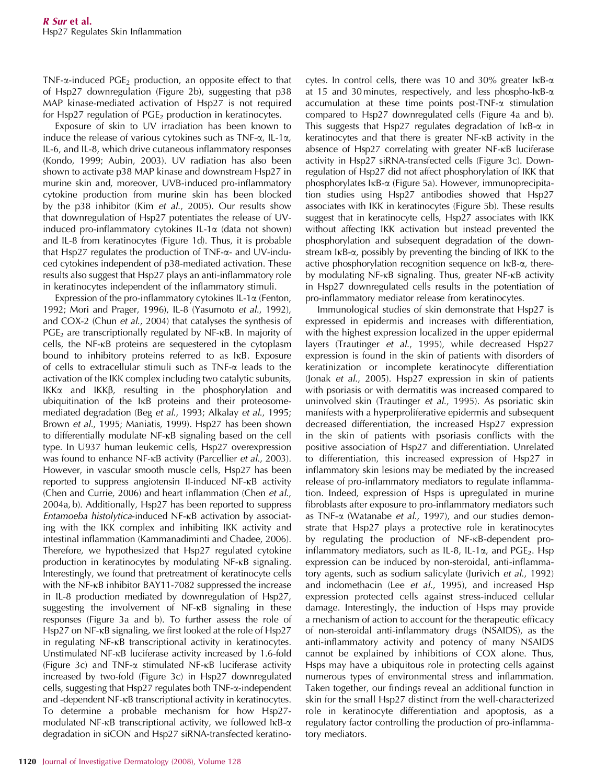TNF- $\alpha$ -induced PGE<sub>2</sub> production, an opposite effect to that of Hsp27 downregulation (Figure 2b), suggesting that p38 MAP kinase-mediated activation of Hsp27 is not required for Hsp27 regulation of  $PGE_2$  production in keratinocytes.

Exposure of skin to UV irradiation has been known to induce the release of various cytokines such as  $TNF-\alpha$ , IL-1 $\alpha$ , IL-6, and IL-8, which drive cutaneous inflammatory responses (Kondo, 1999; Aubin, 2003). UV radiation has also been shown to activate p38 MAP kinase and downstream Hsp27 in murine skin and, moreover, UVB-induced pro-inflammatory cytokine production from murine skin has been blocked by the p38 inhibitor (Kim *et al*., 2005). Our results show that downregulation of Hsp27 potentiates the release of UVinduced pro-inflammatory cytokines IL-1 $\alpha$  (data not shown) and IL-8 from keratinocytes (Figure 1d). Thus, it is probable that Hsp27 regulates the production of TNF-a- and UV-induced cytokines independent of p38-mediated activation. These results also suggest that Hsp27 plays an anti-inflammatory role in keratinocytes independent of the inflammatory stimuli.

Expression of the pro-inflammatory cytokines IL-1 $\alpha$  (Fenton, 1992; Mori and Prager, 1996), IL-8 (Yasumoto *et al*., 1992), and COX-2 (Chun *et al*., 2004) that catalyses the synthesis of PGE<sub>2</sub> are transcriptionally regulated by NF- $\kappa$ B. In majority of cells, the NF-kB proteins are sequestered in the cytoplasm bound to inhibitory proteins referred to as IkB. Exposure of cells to extracellular stimuli such as TNF-a leads to the activation of the IKK complex including two catalytic subunits, IKK $\alpha$  and IKK $\beta$ , resulting in the phosphorylation and ubiquitination of the IkB proteins and their proteosomemediated degradation (Beg *et al*., 1993; Alkalay *et al*., 1995; Brown *et al*., 1995; Maniatis, 1999). Hsp27 has been shown to differentially modulate NF-kB signaling based on the cell type. In U937 human leukemic cells, Hsp27 overexpression was found to enhance NF-kB activity (Parcellier *et al*., 2003). However, in vascular smooth muscle cells, Hsp27 has been reported to suppress angiotensin II-induced NF-kB activity (Chen and Currie, 2006) and heart inflammation (Chen *et al*., 2004a, b). Additionally, Hsp27 has been reported to suppress *Entamoeba histolytica*-induced NF-kB activation by associating with the IKK complex and inhibiting IKK activity and intestinal inflammation (Kammanadiminti and Chadee, 2006). Therefore, we hypothesized that Hsp27 regulated cytokine production in keratinocytes by modulating NF-kB signaling. Interestingly, we found that pretreatment of keratinocyte cells with the NF-kB inhibitor BAY11-7082 suppressed the increase in IL-8 production mediated by downregulation of Hsp27, suggesting the involvement of NF-kB signaling in these responses (Figure 3a and b). To further assess the role of Hsp27 on NF-kB signaling, we first looked at the role of Hsp27 in regulating NF-kB transcriptional activity in keratinocytes. Unstimulated NF-kB luciferase activity increased by 1.6-fold (Figure 3c) and TNF- $\alpha$  stimulated NF- $\kappa$ B luciferase activity increased by two-fold (Figure 3c) in Hsp27 downregulated cells, suggesting that Hsp27 regulates both TNF-a-independent and -dependent NF-kB transcriptional activity in keratinocytes. To determine a probable mechanism for how Hsp27 modulated NF- $\kappa$ B transcriptional activity, we followed  $\kappa$ B- $\alpha$ degradation in siCON and Hsp27 siRNA-transfected keratinocytes. In control cells, there was 10 and 30% greater  $I\kappa B$ - $\alpha$ at 15 and 30 minutes, respectively, and less phospho-IkB-a accumulation at these time points post-TNF- $\alpha$  stimulation compared to Hsp27 downregulated cells (Figure 4a and b). This suggests that Hsp27 regulates degradation of  $I\kappa B$ - $\alpha$  in keratinocytes and that there is greater NF-kB activity in the absence of Hsp27 correlating with greater NF-kB luciferase activity in Hsp27 siRNA-transfected cells (Figure 3c). Downregulation of Hsp27 did not affect phosphorylation of IKK that phosphorylates IkB-a (Figure 5a). However, immunoprecipitation studies using Hsp27 antibodies showed that Hsp27 associates with IKK in keratinocytes (Figure 5b). These results suggest that in keratinocyte cells, Hsp27 associates with IKK without affecting IKK activation but instead prevented the phosphorylation and subsequent degradation of the downstream  $I \kappa B$ - $\alpha$ , possibly by preventing the binding of IKK to the active phosphorylation recognition sequence on IkB-a, thereby modulating NF-KB signaling. Thus, greater NF-KB activity in Hsp27 downregulated cells results in the potentiation of pro-inflammatory mediator release from keratinocytes.

Immunological studies of skin demonstrate that Hsp27 is expressed in epidermis and increases with differentiation, with the highest expression localized in the upper epidermal layers (Trautinger *et al*., 1995), while decreased Hsp27 expression is found in the skin of patients with disorders of keratinization or incomplete keratinocyte differentiation (Jonak *et al*., 2005). Hsp27 expression in skin of patients with psoriasis or with dermatitis was increased compared to uninvolved skin (Trautinger *et al*., 1995). As psoriatic skin manifests with a hyperproliferative epidermis and subsequent decreased differentiation, the increased Hsp27 expression in the skin of patients with psoriasis conflicts with the positive association of Hsp27 and differentiation. Unrelated to differentiation, this increased expression of Hsp27 in inflammatory skin lesions may be mediated by the increased release of pro-inflammatory mediators to regulate inflammation. Indeed, expression of Hsps is upregulated in murine fibroblasts after exposure to pro-inflammatory mediators such as TNF-a (Watanabe *et al*., 1997), and our studies demonstrate that Hsp27 plays a protective role in keratinocytes by regulating the production of NF-kB-dependent proinflammatory mediators, such as IL-8, IL-1 $\alpha$ , and PGE<sub>2</sub>. Hsp expression can be induced by non-steroidal, anti-inflammatory agents, such as sodium salicylate (Jurivich *et al*., 1992) and indomethacin (Lee *et al*., 1995), and increased Hsp expression protected cells against stress-induced cellular damage. Interestingly, the induction of Hsps may provide a mechanism of action to account for the therapeutic efficacy of non-steroidal anti-inflammatory drugs (NSAIDS), as the anti-inflammatory activity and potency of many NSAIDS cannot be explained by inhibitions of COX alone. Thus, Hsps may have a ubiquitous role in protecting cells against numerous types of environmental stress and inflammation. Taken together, our findings reveal an additional function in skin for the small Hsp27 distinct from the well-characterized role in keratinocyte differentiation and apoptosis, as a regulatory factor controlling the production of pro-inflammatory mediators.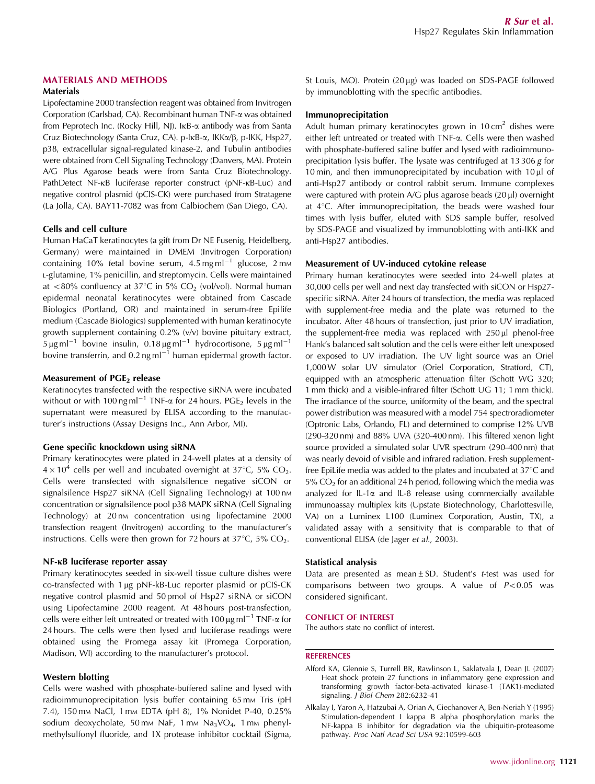# MATERIALS AND METHODS

## Materials

Lipofectamine 2000 transfection reagent was obtained from Invitrogen Corporation (Carlsbad, CA). Recombinant human TNF-a was obtained from Peprotech Inc. (Rocky Hill, NJ). IkB-a antibody was from Santa Cruz Biotechnology (Santa Cruz, CA). p-IkB-a, IKKa/b, p-IKK, Hsp27, p38, extracellular signal-regulated kinase-2, and Tubulin antibodies were obtained from Cell Signaling Technology (Danvers, MA). Protein A/G Plus Agarose beads were from Santa Cruz Biotechnology. PathDetect NF- $\kappa$ B luciferase reporter construct (pNF- $\kappa$ B-Luc) and negative control plasmid (pCIS-CK) were purchased from Stratagene (La Jolla, CA). BAY11-7082 was from Calbiochem (San Diego, CA).

### Cells and cell culture

Human HaCaT keratinocytes (a gift from Dr NE Fusenig, Heidelberg, Germany) were maintained in DMEM (Invitrogen Corporation) containing 10% fetal bovine serum,  $4.5 \text{ mg m}$ l $^{-1}$  glucose, 2 mm <sup>L</sup>-glutamine, 1% penicillin, and streptomycin. Cells were maintained at <80% confluency at 37°C in 5%  $CO<sub>2</sub>$  (vol/vol). Normal human epidermal neonatal keratinocytes were obtained from Cascade Biologics (Portland, OR) and maintained in serum-free Epilife medium (Cascade Biologics) supplemented with human keratinocyte growth supplement containing 0.2% (v/v) bovine pituitary extract,  $5 \mu$ g ml<sup>-1</sup> bovine insulin, 0.18  $\mu$ g ml<sup>-1</sup> hydrocortisone, 5  $\mu$ g ml<sup>-1</sup> bovine transferrin, and 0.2 ng ml<sup> $-1$ </sup> human epidermal growth factor.

### Measurement of  $PGE<sub>2</sub>$  release

Keratinocytes transfected with the respective siRNA were incubated without or with 100 ng ml<sup>-1</sup> TNF- $\alpha$  for 24 hours. PGE<sub>2</sub> levels in the supernatant were measured by ELISA according to the manufacturer's instructions (Assay Designs Inc., Ann Arbor, MI).

## Gene specific knockdown using siRNA

Primary keratinocytes were plated in 24-well plates at a density of  $4 \times 10^4$  cells per well and incubated overnight at 37°C, 5% CO<sub>2</sub>. Cells were transfected with signalsilence negative siCON or signalsilence Hsp27 siRNA (Cell Signaling Technology) at 100 nm concentration or signalsilence pool p38 MAPK siRNA (Cell Signaling Technology) at 20 nm concentration using lipofectamine 2000 transfection reagent (Invitrogen) according to the manufacturer's instructions. Cells were then grown for 72 hours at  $37^{\circ}$ C, 5% CO<sub>2</sub>.

## NF-KB luciferase reporter assay

Primary keratinocytes seeded in six-well tissue culture dishes were co-transfected with 1 µg pNF-kB-Luc reporter plasmid or pCIS-CK negative control plasmid and 50 pmol of Hsp27 siRNA or siCON using Lipofectamine 2000 reagent. At 48 hours post-transfection, cells were either left untreated or treated with 100  $\mu$ g ml<sup>-1</sup> TNF- $\alpha$  for 24 hours. The cells were then lysed and luciferase readings were obtained using the Promega assay kit (Promega Corporation, Madison, WI) according to the manufacturer's protocol.

## Western blotting

Cells were washed with phosphate-buffered saline and lysed with radioimmunoprecipitation lysis buffer containing 65 mm Tris (pH 7.4), 150 mm NaCl, 1 mm EDTA (pH 8), 1% Nonidet P-40, 0.25% sodium deoxycholate, 50 mm NaF, 1 mm Na<sub>3</sub>VO<sub>4</sub>, 1 mm phenylmethylsulfonyl fluoride, and 1X protease inhibitor cocktail (Sigma, St Louis, MO). Protein  $(20 \mu g)$  was loaded on SDS-PAGE followed by immunoblotting with the specific antibodies.

# Immunoprecipitation

Adult human primary keratinocytes grown in 10 cm<sup>2</sup> dishes were either left untreated or treated with TNF-a. Cells were then washed with phosphate-buffered saline buffer and lysed with radioimmunoprecipitation lysis buffer. The lysate was centrifuged at 13 306 *g* for 10 min, and then immunoprecipitated by incubation with  $10 \mu$  of anti-Hsp27 antibody or control rabbit serum. Immune complexes were captured with protein A/G plus agarose beads (20 µl) overnight at  $4^{\circ}$ C. After immunoprecipitation, the beads were washed four times with lysis buffer, eluted with SDS sample buffer, resolved by SDS-PAGE and visualized by immunoblotting with anti-IKK and anti-Hsp27 antibodies.

#### Measurement of UV-induced cytokine release

Primary human keratinocytes were seeded into 24-well plates at 30,000 cells per well and next day transfected with siCON or Hsp27 specific siRNA. After 24 hours of transfection, the media was replaced with supplement-free media and the plate was returned to the incubator. After 48 hours of transfection, just prior to UV irradiation, the supplement-free media was replaced with  $250 \mu l$  phenol-free Hank's balanced salt solution and the cells were either left unexposed or exposed to UV irradiation. The UV light source was an Oriel 1,000W solar UV simulator (Oriel Corporation, Stratford, CT), equipped with an atmospheric attenuation filter (Schott WG 320; 1 mm thick) and a visible-infrared filter (Schott UG 11; 1 mm thick). The irradiance of the source, uniformity of the beam, and the spectral power distribution was measured with a model 754 spectroradiometer (Optronic Labs, Orlando, FL) and determined to comprise 12% UVB (290–320 nm) and 88% UVA (320–400 nm). This filtered xenon light source provided a simulated solar UVR spectrum (290–400 nm) that was nearly devoid of visible and infrared radiation. Fresh supplementfree EpiLife media was added to the plates and incubated at  $37^{\circ}$ C and  $5\%$  CO<sub>2</sub> for an additional 24 h period, following which the media was analyzed for IL-1 $\alpha$  and IL-8 release using commercially available immunoassay multiplex kits (Upstate Biotechnology, Charlottesville, VA) on a Luminex L100 (Luminex Corporation, Austin, TX), a validated assay with a sensitivity that is comparable to that of conventional ELISA (de Jager *et al*., 2003).

### Statistical analysis

Data are presented as mean±SD. Student's *t*-test was used for comparisons between two groups. A value of  $P < 0.05$  was considered significant.

### CONFLICT OF INTEREST

The authors state no conflict of interest.

#### **REFERENCES**

- Alford KA, Glennie S, Turrell BR, Rawlinson L, Saklatvala J, Dean JL (2007) Heat shock protein 27 functions in inflammatory gene expression and transforming growth factor-beta-activated kinase-1 (TAK1)-mediated signaling. *J Biol Chem* 282:6232–41
- Alkalay I, Yaron A, Hatzubai A, Orian A, Ciechanover A, Ben-Neriah Y (1995) Stimulation-dependent I kappa B alpha phosphorylation marks the NF-kappa B inhibitor for degradation via the ubiquitin-proteasome pathway. *Proc Natl Acad Sci USA* 92:10599–603